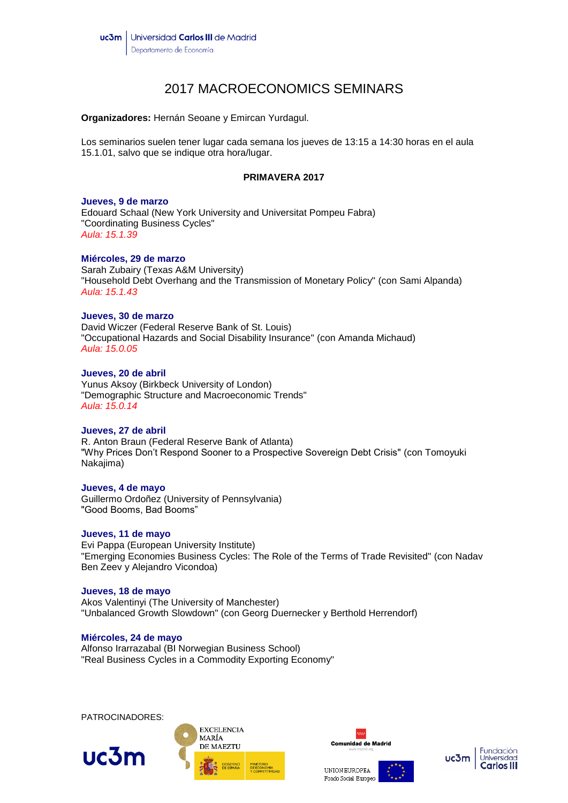# 2017 MACROECONOMICS SEMINARS

**Organizadores:** Hernán Seoane y Emircan Yurdagul.

Los seminarios suelen tener lugar cada semana los jueves de 13:15 a 14:30 horas en el aula 15.1.01, salvo que se indique otra hora/lugar.

# **PRIMAVERA 2017**

#### **Jueves, 9 de marzo**

Edouard Schaal (New York University and Universitat Pompeu Fabra) "Coordinating Business Cycles" *Aula: 15.1.39*

## **Miércoles, 29 de marzo**

Sarah Zubairy (Texas A&M University) "Household Debt Overhang and the Transmission of Monetary Policy" (con Sami Alpanda) *Aula: 15.1.43*

#### **Jueves, 30 de marzo**

David Wiczer (Federal Reserve Bank of St. Louis) "Occupational Hazards and Social Disability Insurance" (con Amanda Michaud) *Aula: 15.0.05*

# **Jueves, 20 de abril**

Yunus Aksoy (Birkbeck University of London) "Demographic Structure and Macroeconomic Trends" *Aula: 15.0.14*

#### **Jueves, 27 de abril**

R. Anton Braun (Federal Reserve Bank of Atlanta) "Why Prices Don't Respond Sooner to a Prospective Sovereign Debt Crisis" (con Tomoyuki Nakajima)

#### **Jueves, 4 de mayo**

Guillermo Ordoñez (University of Pennsylvania) "Good Booms, Bad Booms"

# **Jueves, 11 de mayo**

Evi Pappa (European University Institute) "Emerging Economies Business Cycles: The Role of the Terms of Trade Revisited" (con Nadav Ben Zeev y Alejandro Vicondoa)

#### **Jueves, 18 de mayo**

Akos Valentinyi (The University of Manchester) "Unbalanced Growth Slowdown" (con Georg Duernecker y Berthold Herrendorf)

# **Miércoles, 24 de mayo**

Alfonso Irarrazabal (BI Norwegian Business School) "Real Business Cycles in a Commodity Exporting Economy"

PATROCINADORES:







Fondo Social Europeo